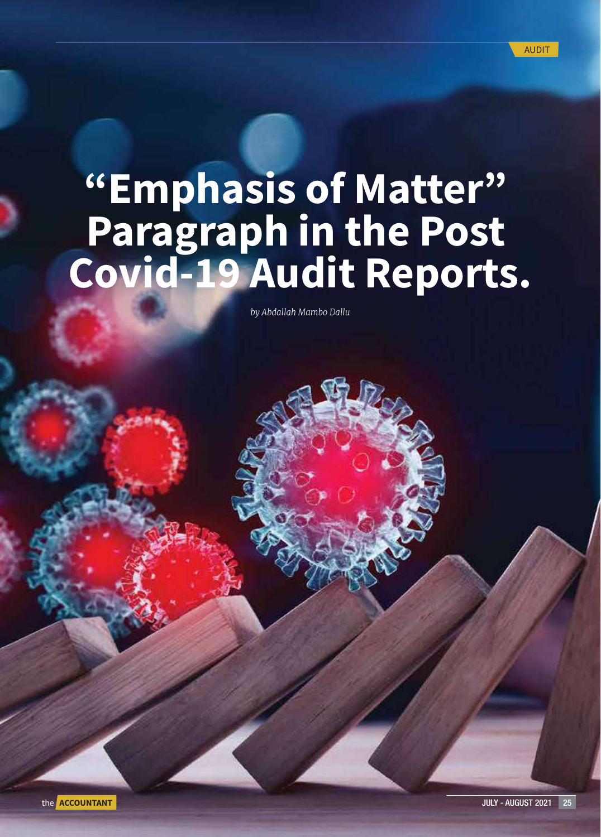# "Emphasis of Matter" Paragraph in the Post Covid-19 Audit Reports.

*by Abdallah Mambo Dallu*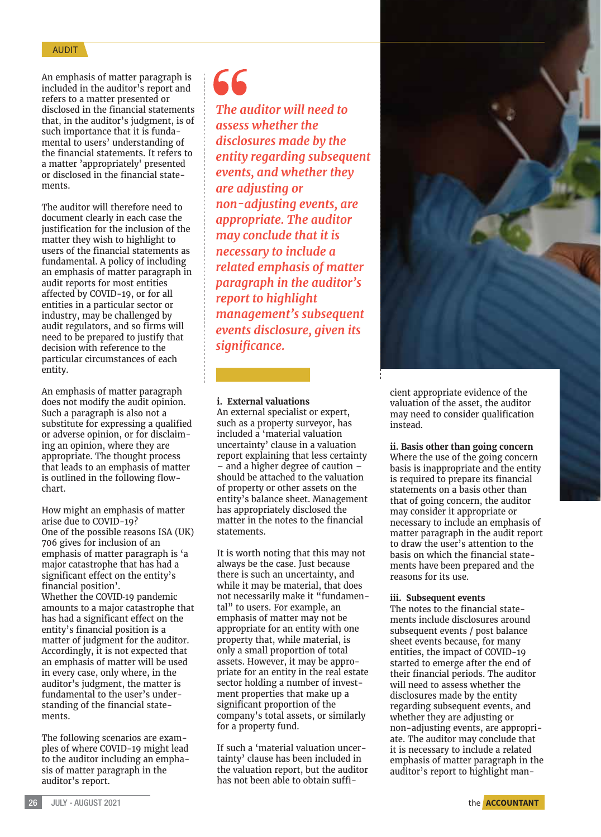## **AUDIT**

An emphasis of matter paragraph is included in the auditor's report and refers to a matter presented or disclosed in the financial statements that, in the auditor's judgment, is of such importance that it is fundamental to users' understanding of the financial statements. It refers to a matter 'appropriately' presented or disclosed in the financial statements.

The auditor will therefore need to document clearly in each case the justification for the inclusion of the matter they wish to highlight to users of the financial statements as fundamental. A policy of including an emphasis of matter paragraph in audit reports for most entities affected by COVID-19, or for all entities in a particular sector or industry, may be challenged by audit regulators, and so firms will need to be prepared to justify that decision with reference to the particular circumstances of each entity.

An emphasis of matter paragraph does not modify the audit opinion. Such a paragraph is also not a substitute for expressing a qualified or adverse opinion, or for disclaiming an opinion, where they are appropriate. The thought process that leads to an emphasis of matter is outlined in the following flowchart.

How might an emphasis of matter arise due to COVID-19? One of the possible reasons ISA (UK) 706 gives for inclusion of an emphasis of matter paragraph is 'a major catastrophe that has had a significant effect on the entity's financial position'. Whether the COVID‐19 pandemic amounts to a major catastrophe that has had a significant effect on the entity's financial position is a matter of judgment for the auditor. Accordingly, it is not expected that an emphasis of matter will be used in every case, only where, in the auditor's judgment, the matter is fundamental to the user's understanding of the financial statements.

The following scenarios are examples of where COVID-19 might lead to the auditor including an emphasis of matter paragraph in the auditor's report.

# 66

*The auditor will need to assess whether the disclosures made by the entity regarding subsequent events, and whether they are adjusting or non-adjusting events, are appropriate. The auditor may conclude that it is necessary to include a related emphasis of matter paragraph in the auditor's report to highlight management's subsequent events disclosure, given its significance.* 

## **i. External valuations**

An external specialist or expert, such as a property surveyor, has included a 'material valuation uncertainty' clause in a valuation report explaining that less certainty – and a higher degree of caution – should be attached to the valuation of property or other assets on the entity's balance sheet. Management has appropriately disclosed the matter in the notes to the financial statements.

It is worth noting that this may not always be the case. Just because there is such an uncertainty, and while it may be material, that does not necessarily make it "fundamental" to users. For example, an emphasis of matter may not be appropriate for an entity with one property that, while material, is only a small proportion of total assets. However, it may be appropriate for an entity in the real estate sector holding a number of investment properties that make up a significant proportion of the company's total assets, or similarly for a property fund.

If such a 'material valuation uncertainty' clause has been included in the valuation report, but the auditor has not been able to obtain suffi-



cient appropriate evidence of the valuation of the asset, the auditor may need to consider qualification instead.

#### **ii. Basis other than going concern**

Where the use of the going concern basis is inappropriate and the entity is required to prepare its financial statements on a basis other than that of going concern, the auditor may consider it appropriate or necessary to include an emphasis of matter paragraph in the audit report to draw the user's attention to the basis on which the financial statements have been prepared and the reasons for its use.

#### **iii. Subsequent events**

The notes to the financial statements include disclosures around subsequent events / post balance sheet events because, for many entities, the impact of COVID-19 started to emerge after the end of their financial periods. The auditor will need to assess whether the disclosures made by the entity regarding subsequent events, and whether they are adjusting or non-adjusting events, are appropriate. The auditor may conclude that it is necessary to include a related emphasis of matter paragraph in the auditor's report to highlight man-